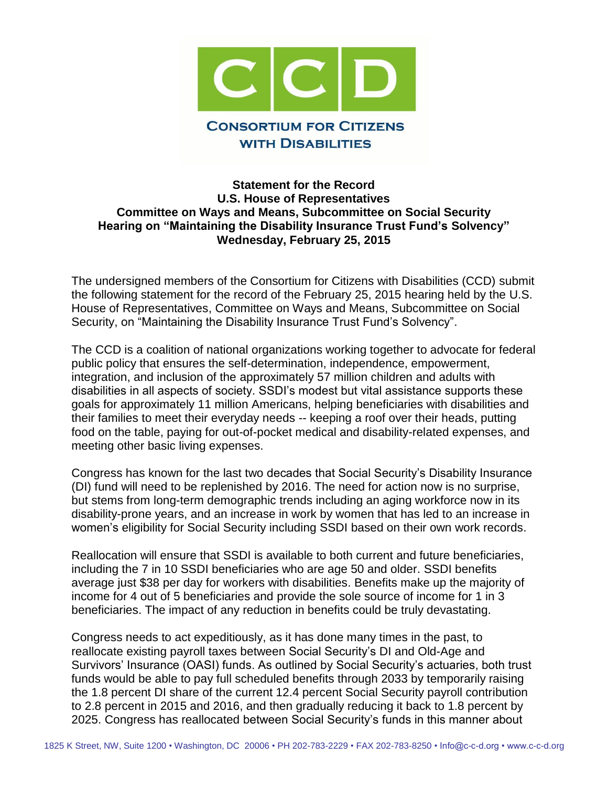

## **Statement for the Record U.S. House of Representatives Committee on Ways and Means, Subcommittee on Social Security Hearing on "Maintaining the Disability Insurance Trust Fund's Solvency" Wednesday, February 25, 2015**

The undersigned members of the Consortium for Citizens with Disabilities (CCD) submit the following statement for the record of the February 25, 2015 hearing held by the U.S. House of Representatives, Committee on Ways and Means, Subcommittee on Social Security, on "Maintaining the Disability Insurance Trust Fund's Solvency".

The CCD is a coalition of national organizations working together to advocate for federal public policy that ensures the self-determination, independence, empowerment, integration, and inclusion of the approximately 57 million children and adults with disabilities in all aspects of society. SSDI's modest but vital assistance supports these goals for approximately 11 million Americans, helping beneficiaries with disabilities and their families to meet their everyday needs -- keeping a roof over their heads, putting food on the table, paying for out-of-pocket medical and disability-related expenses, and meeting other basic living expenses.

Congress has known for the last two decades that Social Security's Disability Insurance (DI) fund will need to be replenished by 2016. The need for action now is no surprise, but stems from long-term demographic trends including an aging workforce now in its disability-prone years, and an increase in work by women that has led to an increase in women's eligibility for Social Security including SSDI based on their own work records.

Reallocation will ensure that SSDI is available to both current and future beneficiaries, including the 7 in 10 SSDI beneficiaries who are age 50 and older. SSDI benefits average just \$38 per day for workers with disabilities. Benefits make up the majority of income for 4 out of 5 beneficiaries and provide the sole source of income for 1 in 3 beneficiaries. The impact of any reduction in benefits could be truly devastating.

Congress needs to act expeditiously, as it has done many times in the past, to reallocate existing payroll taxes between Social Security's DI and Old-Age and Survivors' Insurance (OASI) funds. As outlined by Social Security's actuaries, both trust funds would be able to pay full scheduled benefits through 2033 by temporarily raising the 1.8 percent DI share of the current 12.4 percent Social Security payroll contribution to 2.8 percent in 2015 and 2016, and then gradually reducing it back to 1.8 percent by 2025. Congress has reallocated between Social Security's funds in this manner about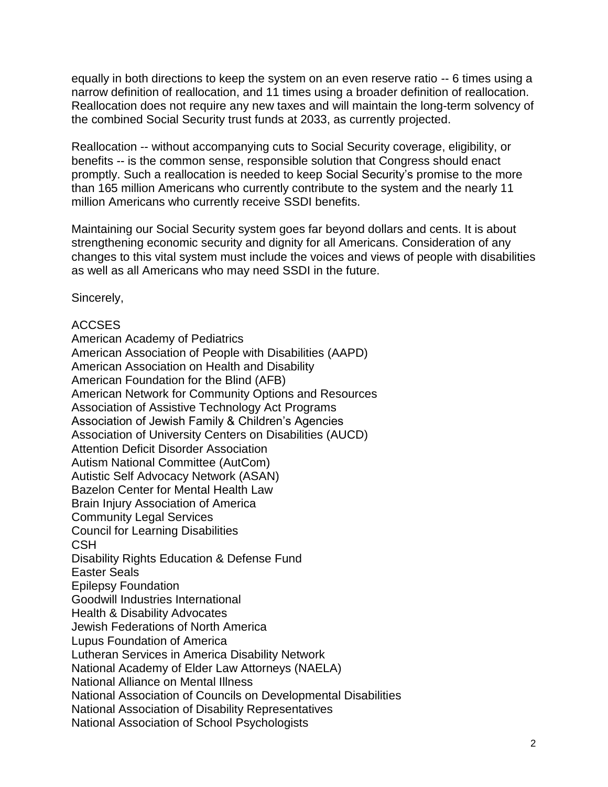equally in both directions to keep the system on an even reserve ratio -- 6 times using a narrow definition of reallocation, and 11 times using a broader definition of reallocation. Reallocation does not require any new taxes and will maintain the long-term solvency of the combined Social Security trust funds at 2033, as currently projected.

Reallocation -- without accompanying cuts to Social Security coverage, eligibility, or benefits -- is the common sense, responsible solution that Congress should enact promptly. Such a reallocation is needed to keep Social Security's promise to the more than 165 million Americans who currently contribute to the system and the nearly 11 million Americans who currently receive SSDI benefits.

Maintaining our Social Security system goes far beyond dollars and cents. It is about strengthening economic security and dignity for all Americans. Consideration of any changes to this vital system must include the voices and views of people with disabilities as well as all Americans who may need SSDI in the future.

Sincerely,

## ACCSES

American Academy of Pediatrics American Association of People with Disabilities (AAPD) American Association on Health and Disability American Foundation for the Blind (AFB) American Network for Community Options and Resources Association of Assistive Technology Act Programs Association of Jewish Family & Children's Agencies Association of University Centers on Disabilities (AUCD) Attention Deficit Disorder Association Autism National Committee (AutCom) Autistic Self Advocacy Network (ASAN) Bazelon Center for Mental Health Law Brain Injury Association of America Community Legal Services Council for Learning Disabilities **CSH** Disability Rights Education & Defense Fund Easter Seals Epilepsy Foundation Goodwill Industries International Health & Disability Advocates Jewish Federations of North America Lupus Foundation of America Lutheran Services in America Disability Network National Academy of Elder Law Attorneys (NAELA) National Alliance on Mental Illness National Association of Councils on Developmental Disabilities National Association of Disability Representatives National Association of School Psychologists